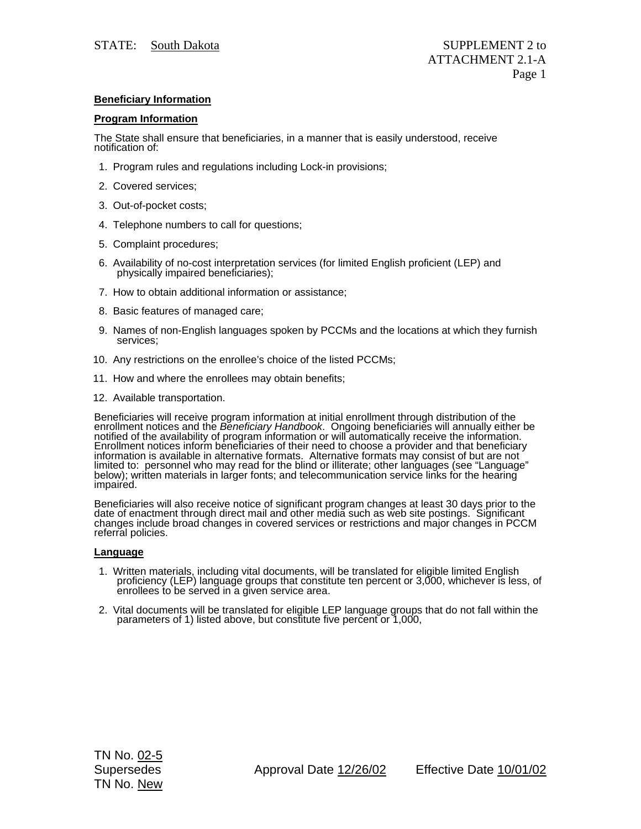## **Beneficiary Information**

## **Program Information**

The State shall ensure that beneficiaries, in a manner that is easily understood, receive notification of:

- 1. Program rules and regulations including Lock-in provisions;
- 2. Covered services;
- 3. Out-of-pocket costs;
- 4. Telephone numbers to call for questions;
- 5. Complaint procedures;
- 6. Availability of no-cost interpretation services (for limited English proficient (LEP) and physically impaired beneficiaries);
- 7. How to obtain additional information or assistance;
- 8. Basic features of managed care;
- 9. Names of non-English languages spoken by PCCMs and the locations at which they furnish services;
- 10. Any restrictions on the enrollee's choice of the listed PCCMs;
- 11. How and where the enrollees may obtain benefits;
- 12. Available transportation.

Beneficiaries will receive program information at initial enrollment through distribution of the<br>enrollment notices and the *Beneficiary Handbook*. Ongoing beneficiaries will annually either be<br>notified of the availability Enformation is available in alternative formats. Alternative formats may consist of but are not<br>limited to: personnel who may read for the blind or illiterate; other languages (see "Language"<br>below); written materials in l

Beneficiaries will also receive notice of significant program changes at least 30 days prior to the date of enactment through direct mail and other media such as web site postings. Significant changes include broad changes

## **Language**

- 1. Written materials, including vital documents, will be translated for eligible limited English proficiency (LEP) language groups that constitute ten percent or 3,000, whichever is less, of enrollees to be served in a giv
- 2. Vital documents will be translated for eligible LEP language groups that do not fall within the parameters of 1) listed above, but constitute five percent or 1,000,